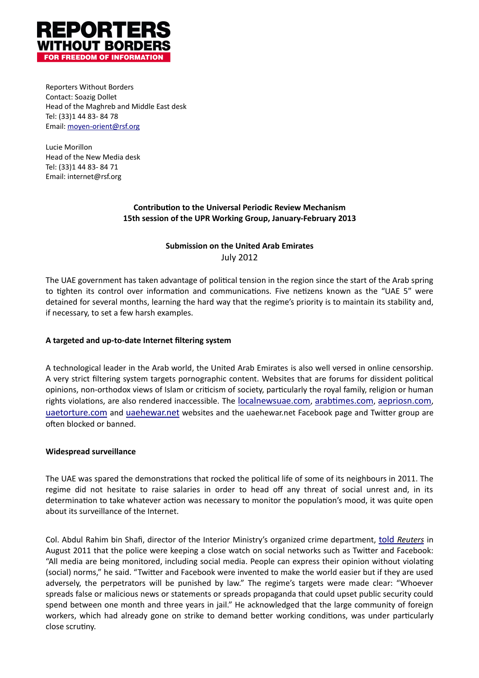

Reporters Without Borders Contact: Soazig Dollet Head of the Maghreb and Middle East desk Tel: (33)1 44 83-84 78 Email: moyen-orient@rsf.org

Lucie Morillon Head of the New Media desk Tel: (33)1 44 83-84 71 Email: internet@rsf.org

# **Contribution to the Universal Periodic Review Mechanism** 15th session of the UPR Working Group, January-February 2013

# **Submission on the United Arab Emirates** July(2012

The UAE government has taken advantage of political tension in the region since the start of the Arab spring to tighten its control over information and communications. Five netizens known as the "UAE 5" were detained for several months, learning the hard way that the regime's priority is to maintain its stability and, if necessary, to set a few harsh examples.

# A targeted and up-to-date Internet filtering system

A technological leader in the Arab world, the United Arab Emirates is also well versed in online censorship. A very strict filtering system targets pornographic content. Websites that are forums for dissident political opinions, non-orthodox views of Islam or criticism of society, particularly the royal family, religion or human rights violations, are also rendered inaccessible. The localnewsuae.com, arabtimes.com, aepriosn.com, uaetorture.com and uaehewar.net websites and the uaehewar.net Facebook page and Twitter group are often blocked or banned.

### **Widespread surveillance**

The UAE was spared the demonstrations that rocked the political life of some of its neighbours in 2011. The regime did not hesitate to raise salaries in order to head off any threat of social unrest and, in its determination to take whatever action was necessary to monitor the population's mood, it was quite open about its surveillance of the Internet.

Col. Abdul Rahim bin Shafi, director of the Interior Ministry's organized crime department, told Reuters in August 2011 that the police were keeping a close watch on social networks such as Twitter and Facebook: "All media are being monitored, including social media. People can express their opinion without violating (social) norms," he said. "Twitter and Facebook were invented to make the world easier but if they are used adversely, the perpetrators will be punished by law." The regime's targets were made clear: "Whoever spreads false or malicious news or statements or spreads propaganda that could upset public security could spend between one month and three years in jail." He acknowledged that the large community of foreign workers, which had already gone on strike to demand better working conditions, was under particularly close scrutiny.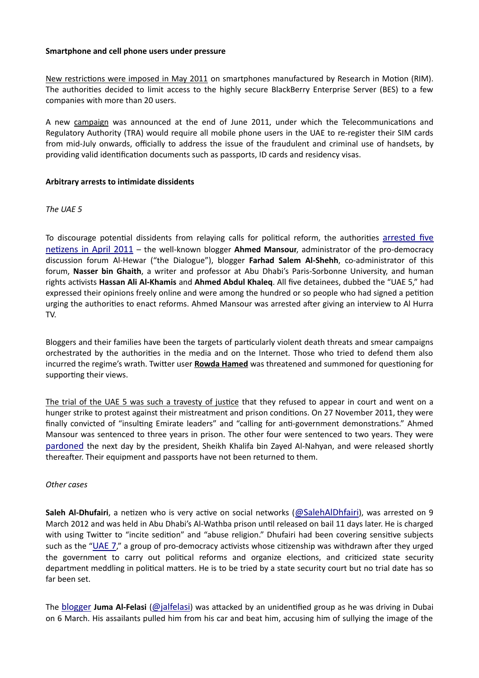#### Smartphone and cell phone users under pressure

New restrictions were imposed in May 2011 on smartphones manufactured by Research in Motion (RIM). The authorities decided to limit access to the highly secure BlackBerry Enterprise Server (BES) to a few companies with more than 20 users.

A new campaign was announced at the end of June 2011, under which the Telecommunications and Regulatory Authority (TRA) would require all mobile phone users in the UAE to re-register their SIM cards from mid-July onwards, officially to address the issue of the fraudulent and criminal use of handsets, by providing valid identification documents such as passports, ID cards and residency visas.

### Arbitrary arrests to intimidate dissidents

### *The)UAE)5*

To discourage potential dissidents from relaying calls for political reform, the authorities arrested five netizens in April 2011 – the well-known blogger **Ahmed Mansour**, administrator of the pro-democracy discussion forum Al-Hewar ("the Dialogue"), blogger **Farhad Salem Al-Shehh**, co-administrator of this forum, Nasser bin Ghaith, a writer and professor at Abu Dhabi's Paris-Sorbonne University, and human rights activists **Hassan Ali Al-Khamis** and **Ahmed Abdul Khaleq**. All five detainees, dubbed the "UAE 5," had expressed their opinions freely online and were among the hundred or so people who had signed a petition urging the authorities to enact reforms. Ahmed Mansour was arrested after giving an interview to Al Hurra TV.

Bloggers and their families have been the targets of particularly violent death threats and smear campaigns orchestrated by the authorities in the media and on the Internet. Those who tried to defend them also incurred the regime's wrath. Twitter user **Rowda Hamed** was threatened and summoned for questioning for supporting their views.

The trial of the UAE 5 was such a travesty of justice that they refused to appear in court and went on a hunger strike to protest against their mistreatment and prison conditions. On 27 November 2011, they were finally convicted of "insulting Emirate leaders" and "calling for anti-government demonstrations." Ahmed Mansour was sentenced to three years in prison. The other four were sentenced to two years. They were pardoned the next day by the president, Sheikh Khalifa bin Zayed Al-Nahyan, and were released shortly thereafter. Their equipment and passports have not been returned to them.

### *Other* cases

**Saleh Al-Dhufairi**, a netizen who is very active on social networks (@SalehAlDhfairi), was arrested on 9 March 2012 and was held in Abu Dhabi's Al-Wathba prison until released on bail 11 days later. He is charged with using Twitter to "incite sedition" and "abuse religion." Dhufairi had been covering sensitive subjects such as the "UAE 7," a group of pro-democracy activists whose citizenship was withdrawn after they urged the government to carry out political reforms and organize elections, and criticized state security department meddling in political matters. He is to be tried by a state security court but no trial date has so far been set.

The blogger **Juma Al-Felasi** (@jalfelasi) was attacked by an unidentified group as he was driving in Dubai on 6 March. His assailants pulled him from his car and beat him, accusing him of sullying the image of the